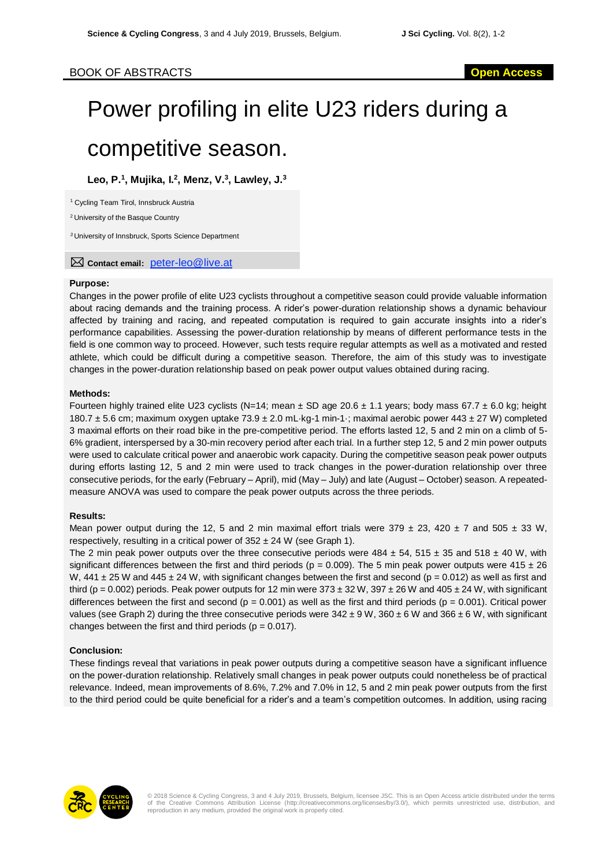# BOOK OF ABSTRACTS **Open Access**

# Power profiling in elite U23 riders during a competitive season.

**Leo, P. 1 , Mujika, I.<sup>2</sup> , Menz, V.<sup>3</sup> , Lawley, J.<sup>3</sup>**

<sup>1</sup> Cycling Team Tirol, Innsbruck Austria

<sup>2</sup> University of the Basque Country

*<sup>3</sup>* University of Innsbruck, Sports Science Department

**Contact email:** peter-leo@live.at

#### **Purpose:**

Changes in the power profile of elite U23 cyclists throughout a competitive season could provide valuable information about racing demands and the training process. A rider's power-duration relationship shows a dynamic behaviour affected by training and racing, and repeated computation is required to gain accurate insights into a rider's performance capabilities. Assessing the power-duration relationship by means of different performance tests in the field is one common way to proceed. However, such tests require regular attempts as well as a motivated and rested athlete, which could be difficult during a competitive season. Therefore, the aim of this study was to investigate changes in the power-duration relationship based on peak power output values obtained during racing.

#### **Methods:**

Fourteen highly trained elite U23 cyclists (N=14; mean  $\pm$  SD age 20.6  $\pm$  1.1 years; body mass 67.7  $\pm$  6.0 kg; height 180.7 ± 5.6 cm; maximum oxygen uptake 73.9 ± 2.0 mL·kg-1 min-1·; maximal aerobic power 443 ± 27 W) completed 3 maximal efforts on their road bike in the pre-competitive period. The efforts lasted 12, 5 and 2 min on a climb of 5- 6% gradient, interspersed by a 30-min recovery period after each trial. In a further step 12, 5 and 2 min power outputs were used to calculate critical power and anaerobic work capacity. During the competitive season peak power outputs during efforts lasting 12, 5 and 2 min were used to track changes in the power-duration relationship over three consecutive periods, for the early (February – April), mid (May – July) and late (August – October) season. A repeatedmeasure ANOVA was used to compare the peak power outputs across the three periods.

## **Results:**

Mean power output during the 12, 5 and 2 min maximal effort trials were 379  $\pm$  23, 420  $\pm$  7 and 505  $\pm$  33 W, respectively, resulting in a critical power of  $352 \pm 24$  W (see Graph 1).

The 2 min peak power outputs over the three consecutive periods were  $484 \pm 54$ ,  $515 \pm 35$  and  $518 \pm 40$  W, with significant differences between the first and third periods ( $p = 0.009$ ). The 5 min peak power outputs were 415  $\pm$  26 W, 441  $\pm$  25 W and 445  $\pm$  24 W, with significant changes between the first and second (p = 0.012) as well as first and third (p = 0.002) periods. Peak power outputs for 12 min were  $373 \pm 32$  W,  $397 \pm 26$  W and  $405 \pm 24$  W, with significant differences between the first and second ( $p = 0.001$ ) as well as the first and third periods ( $p = 0.001$ ). Critical power values (see Graph 2) during the three consecutive periods were  $342 \pm 9$  W,  $360 \pm 6$  W and  $366 \pm 6$  W, with significant changes between the first and third periods ( $p = 0.017$ ).

## **Conclusion:**

These findings reveal that variations in peak power outputs during a competitive season have a significant influence on the power-duration relationship. Relatively small changes in peak power outputs could nonetheless be of practical relevance. Indeed, mean improvements of 8.6%, 7.2% and 7.0% in 12, 5 and 2 min peak power outputs from the first to the third period could be quite beneficial for a rider's and a team's competition outcomes. In addition, using racing